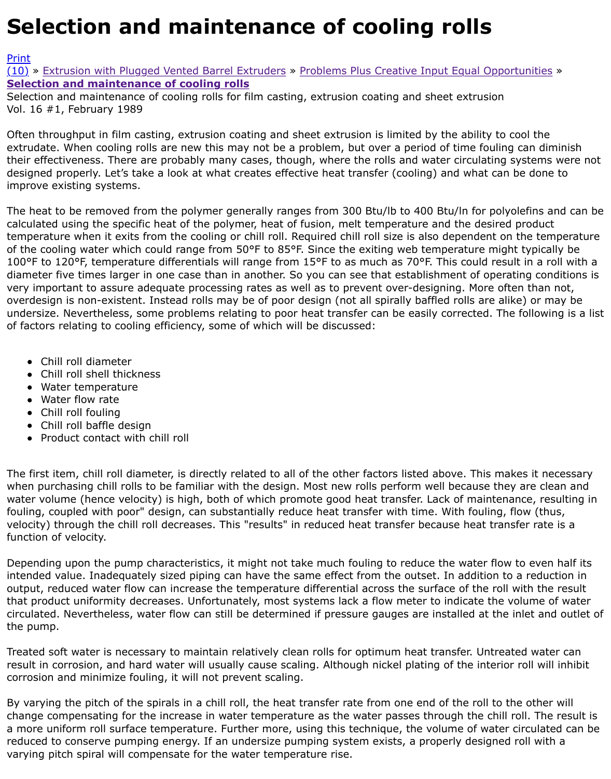## Vol. 16 #1, February 1989

Often throughput in film casting, extrusion coating and sheet extrusion is limited by the ability to co extrudate. When cooling rolls are new this may not be a problem, but over a period of time fouling [their](http://extrusionwiki.com/wiki/Print.aspx?Page=CC-V16-1-A) effectiveness. There are probably many cases, though, where the rolls and water circulating sy [desig](http://extrusionwiki.com/wiki/CC-V16-1-A.ashx#)n[ed properly. Let's take a look at what creates eff](http://extrusionwiki.com/wiki/CC-V15-2-D.ashx)ective heat transfer (cooling) and what can b [improve existing systems.](http://extrusionwiki.com/wiki/CC-V16-1-A.ashx)

The heat to be removed from the polymer generally ranges from 300 Btu/lb to 400 Btu/ln for polyol calculated using the specific heat of the polymer, heat of fusion, melt temperature and the desired production temperature when it exits from the cooling or chill roll. Required chill roll size is also dependent on t of the cooling water which could range from  $50^{\circ}$ F to 85°F. Since the exiting web temperature might 100°F to 120°F, temperature differentials will range from 15°F to as much as 70°F. This could result diameter five times larger in one case than in another. So you can see that establishment of operati very important to assure adequate processing rates as well as to prevent over-designing. More often overdesign is non-existent. Instead rolls may be of poor design (not all spirally baffled rolls are alike undersize. Nevertheless, some problems relating to poor heat transfer can be easily corrected. The of factors relating to cooling efficiency, some of which will be discussed:

- Chill roll diameter
- Chill roll shell thickness
- Water temperature
- Water flow rate
- Chill roll fouling
- Chill roll baffle design
- Product contact with chill roll

The first item, chill roll diameter, is directly related to all of the other factors listed above. This make when purchasing chill rolls to be familiar with the design. Most new rolls perform well because they water volume (hence velocity) is high, both of which promote good heat transfer. Lack of maintenar fouling, coupled with poor" design, can substantially reduce heat transfer with time. With fouling, flo velocity) through the chill roll decreases. This "results" in reduced heat transfer because heat transf function of velocity.

Depending upon the pump characteristics, it might not take much fouling to reduce the water flow t intended value. Inadequately sized piping can have the same effect from the outset. In addition to a output, reduced water flow can increase the temperature differential across the surface of the roll w that product uniformity decreases. Unfortunately, most systems lack a flow meter to indicate the vo circulated. Nevertheless, water flow can still be determined if pressure gauges are installed at the ir the pump.

Treated soft water is necessary to maintain relatively clean rolls for optimum heat transfer. Untreate result in corrosion, and hard water will usually cause scaling. Although nickel plating of the interior i corrosion and minimize fouling, it will not prevent scaling.

By varying the pitch of the spirals in a chill roll, the heat transfer rate from one end of the roll to the change compensating for the increase in water temperature as the water passes through the chill ro a more uniform roll surface temperature. Further more, using this technique, the volume of water c reduced to conserve pumping energy. If an undersize pumping system exists, a properly designed r varying pitch spiral will compensate for the water temperature rise.